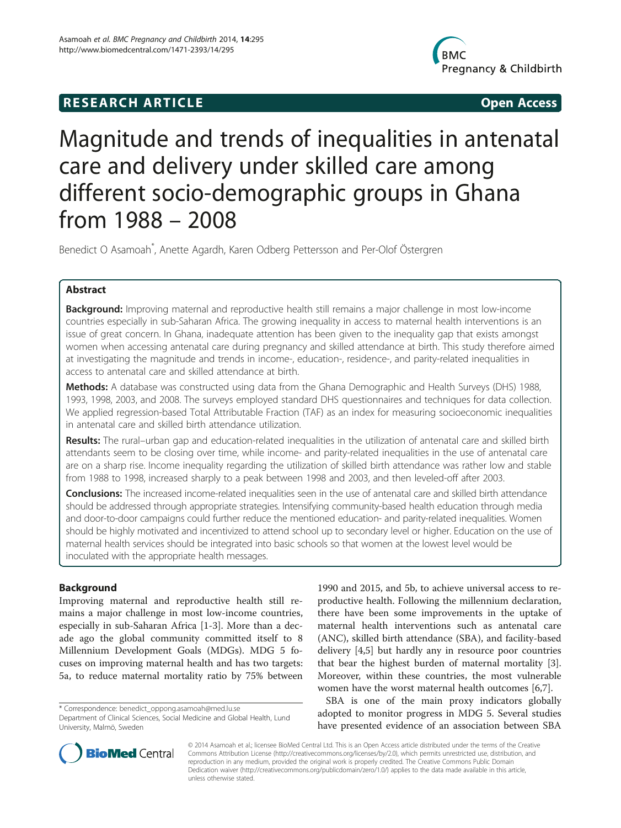## **RESEARCH ARTICLE Example 2014 CONSIDERING CONSIDERING CONSIDERING CONSIDERING CONSIDERING CONSIDERING CONSIDERING CONSIDERING CONSIDERING CONSIDERING CONSIDERING CONSIDERING CONSIDERING CONSIDERING CONSIDERING CONSIDE**



# Magnitude and trends of inequalities in antenatal care and delivery under skilled care among different socio-demographic groups in Ghana from 1988 – 2008

Benedict O Asamoah\* , Anette Agardh, Karen Odberg Pettersson and Per-Olof Östergren

## Abstract

**Background:** Improving maternal and reproductive health still remains a major challenge in most low-income countries especially in sub-Saharan Africa. The growing inequality in access to maternal health interventions is an issue of great concern. In Ghana, inadequate attention has been given to the inequality gap that exists amongst women when accessing antenatal care during pregnancy and skilled attendance at birth. This study therefore aimed at investigating the magnitude and trends in income-, education-, residence-, and parity-related inequalities in access to antenatal care and skilled attendance at birth.

Methods: A database was constructed using data from the Ghana Demographic and Health Surveys (DHS) 1988, 1993, 1998, 2003, and 2008. The surveys employed standard DHS questionnaires and techniques for data collection. We applied regression-based Total Attributable Fraction (TAF) as an index for measuring socioeconomic inequalities in antenatal care and skilled birth attendance utilization.

Results: The rural–urban gap and education-related inequalities in the utilization of antenatal care and skilled birth attendants seem to be closing over time, while income- and parity-related inequalities in the use of antenatal care are on a sharp rise. Income inequality regarding the utilization of skilled birth attendance was rather low and stable from 1988 to 1998, increased sharply to a peak between 1998 and 2003, and then leveled-off after 2003.

Conclusions: The increased income-related inequalities seen in the use of antenatal care and skilled birth attendance should be addressed through appropriate strategies. Intensifying community-based health education through media and door-to-door campaigns could further reduce the mentioned education- and parity-related inequalities. Women should be highly motivated and incentivized to attend school up to secondary level or higher. Education on the use of maternal health services should be integrated into basic schools so that women at the lowest level would be inoculated with the appropriate health messages.

## Background

Improving maternal and reproductive health still remains a major challenge in most low-income countries, especially in sub-Saharan Africa [\[1](#page-12-0)-[3\]](#page-12-0). More than a decade ago the global community committed itself to 8 Millennium Development Goals (MDGs). MDG 5 focuses on improving maternal health and has two targets: 5a, to reduce maternal mortality ratio by 75% between

\* Correspondence: [benedict\\_oppong.asamoah@med.lu.se](mailto:benedict_oppong.asamoah@med.lu.se)

1990 and 2015, and 5b, to achieve universal access to reproductive health. Following the millennium declaration, there have been some improvements in the uptake of maternal health interventions such as antenatal care (ANC), skilled birth attendance (SBA), and facility-based delivery [\[4,5](#page-12-0)] but hardly any in resource poor countries that bear the highest burden of maternal mortality [\[3](#page-12-0)]. Moreover, within these countries, the most vulnerable women have the worst maternal health outcomes [\[6,7](#page-12-0)].

SBA is one of the main proxy indicators globally adopted to monitor progress in MDG 5. Several studies have presented evidence of an association between SBA



© 2014 Asamoah et al.; licensee BioMed Central Ltd. This is an Open Access article distributed under the terms of the Creative Commons Attribution License [\(http://creativecommons.org/licenses/by/2.0\)](http://creativecommons.org/licenses/by/2.0), which permits unrestricted use, distribution, and reproduction in any medium, provided the original work is properly credited. The Creative Commons Public Domain Dedication waiver [\(http://creativecommons.org/publicdomain/zero/1.0/](http://creativecommons.org/publicdomain/zero/1.0/)) applies to the data made available in this article, unless otherwise stated.

Department of Clinical Sciences, Social Medicine and Global Health, Lund University, Malmö, Sweden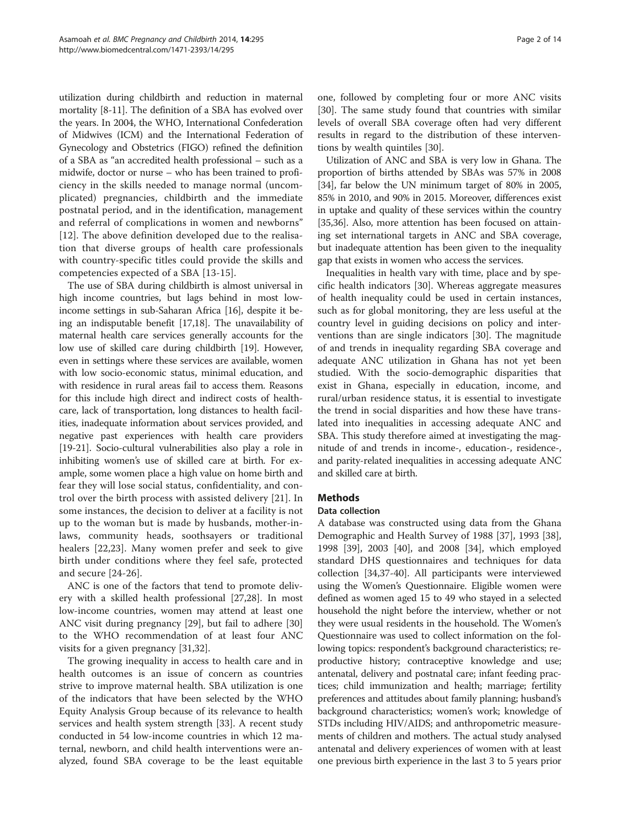utilization during childbirth and reduction in maternal mortality [\[8-11](#page-12-0)]. The definition of a SBA has evolved over the years. In 2004, the WHO, International Confederation of Midwives (ICM) and the International Federation of Gynecology and Obstetrics (FIGO) refined the definition of a SBA as "an accredited health professional – such as a midwife, doctor or nurse – who has been trained to proficiency in the skills needed to manage normal (uncomplicated) pregnancies, childbirth and the immediate postnatal period, and in the identification, management and referral of complications in women and newborns" [[12\]](#page-12-0). The above definition developed due to the realisation that diverse groups of health care professionals with country-specific titles could provide the skills and competencies expected of a SBA [\[13-15](#page-12-0)].

The use of SBA during childbirth is almost universal in high income countries, but lags behind in most lowincome settings in sub-Saharan Africa [[16](#page-12-0)], despite it being an indisputable benefit [[17,18](#page-12-0)]. The unavailability of maternal health care services generally accounts for the low use of skilled care during childbirth [[19](#page-12-0)]. However, even in settings where these services are available, women with low socio-economic status, minimal education, and with residence in rural areas fail to access them. Reasons for this include high direct and indirect costs of healthcare, lack of transportation, long distances to health facilities, inadequate information about services provided, and negative past experiences with health care providers [[19](#page-12-0)-[21](#page-12-0)]. Socio-cultural vulnerabilities also play a role in inhibiting women's use of skilled care at birth. For example, some women place a high value on home birth and fear they will lose social status, confidentiality, and control over the birth process with assisted delivery [\[21](#page-12-0)]. In some instances, the decision to deliver at a facility is not up to the woman but is made by husbands, mother-inlaws, community heads, soothsayers or traditional healers [[22,23\]](#page-12-0). Many women prefer and seek to give birth under conditions where they feel safe, protected and secure [\[24](#page-12-0)-[26\]](#page-12-0).

ANC is one of the factors that tend to promote delivery with a skilled health professional [[27](#page-12-0),[28](#page-12-0)]. In most low-income countries, women may attend at least one ANC visit during pregnancy [\[29](#page-12-0)], but fail to adhere [[30](#page-12-0)] to the WHO recommendation of at least four ANC visits for a given pregnancy [[31](#page-12-0),[32](#page-12-0)].

The growing inequality in access to health care and in health outcomes is an issue of concern as countries strive to improve maternal health. SBA utilization is one of the indicators that have been selected by the WHO Equity Analysis Group because of its relevance to health services and health system strength [[33](#page-12-0)]. A recent study conducted in 54 low-income countries in which 12 maternal, newborn, and child health interventions were analyzed, found SBA coverage to be the least equitable

one, followed by completing four or more ANC visits [[30\]](#page-12-0). The same study found that countries with similar levels of overall SBA coverage often had very different results in regard to the distribution of these interventions by wealth quintiles [[30\]](#page-12-0).

Utilization of ANC and SBA is very low in Ghana. The proportion of births attended by SBAs was 57% in 2008 [[34](#page-12-0)], far below the UN minimum target of 80% in 2005, 85% in 2010, and 90% in 2015. Moreover, differences exist in uptake and quality of these services within the country [[35,36](#page-12-0)]. Also, more attention has been focused on attaining set international targets in ANC and SBA coverage, but inadequate attention has been given to the inequality gap that exists in women who access the services.

Inequalities in health vary with time, place and by specific health indicators [\[30](#page-12-0)]. Whereas aggregate measures of health inequality could be used in certain instances, such as for global monitoring, they are less useful at the country level in guiding decisions on policy and interventions than are single indicators [\[30\]](#page-12-0). The magnitude of and trends in inequality regarding SBA coverage and adequate ANC utilization in Ghana has not yet been studied. With the socio-demographic disparities that exist in Ghana, especially in education, income, and rural/urban residence status, it is essential to investigate the trend in social disparities and how these have translated into inequalities in accessing adequate ANC and SBA. This study therefore aimed at investigating the magnitude of and trends in income-, education-, residence-, and parity-related inequalities in accessing adequate ANC and skilled care at birth.

#### **Methods**

#### Data collection

A database was constructed using data from the Ghana Demographic and Health Survey of 1988 [\[37](#page-12-0)], 1993 [\[38](#page-12-0)], 1998 [[39](#page-12-0)], 2003 [[40\]](#page-12-0), and 2008 [\[34](#page-12-0)], which employed standard DHS questionnaires and techniques for data collection [\[34,37](#page-12-0)-[40\]](#page-12-0). All participants were interviewed using the Women's Questionnaire. Eligible women were defined as women aged 15 to 49 who stayed in a selected household the night before the interview, whether or not they were usual residents in the household. The Women's Questionnaire was used to collect information on the following topics: respondent's background characteristics; reproductive history; contraceptive knowledge and use; antenatal, delivery and postnatal care; infant feeding practices; child immunization and health; marriage; fertility preferences and attitudes about family planning; husband's background characteristics; women's work; knowledge of STDs including HIV/AIDS; and anthropometric measurements of children and mothers. The actual study analysed antenatal and delivery experiences of women with at least one previous birth experience in the last 3 to 5 years prior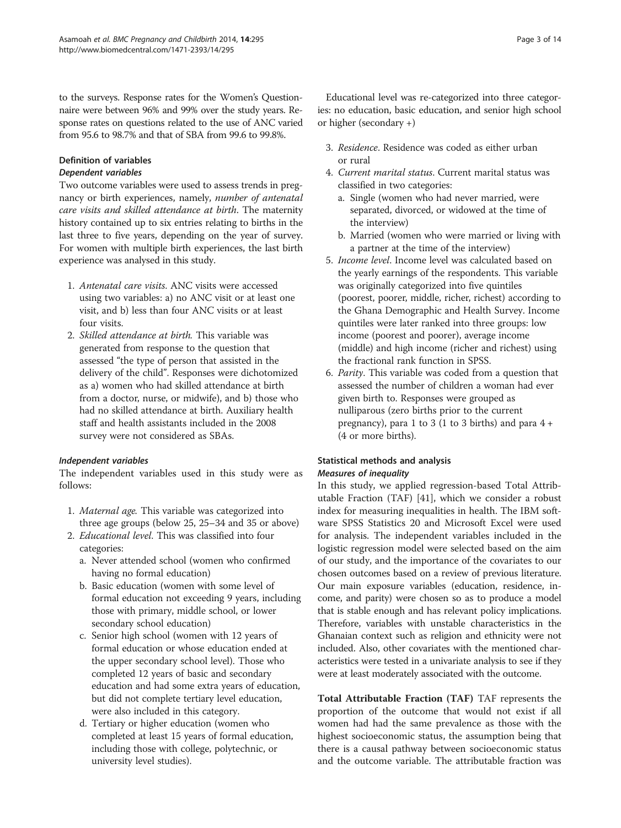to the surveys. Response rates for the Women's Questionnaire were between 96% and 99% over the study years. Response rates on questions related to the use of ANC varied from 95.6 to 98.7% and that of SBA from 99.6 to 99.8%.

## Definition of variables

#### Dependent variables

Two outcome variables were used to assess trends in pregnancy or birth experiences, namely, number of antenatal care visits and skilled attendance at birth. The maternity history contained up to six entries relating to births in the last three to five years, depending on the year of survey. For women with multiple birth experiences, the last birth experience was analysed in this study.

- 1. Antenatal care visits. ANC visits were accessed using two variables: a) no ANC visit or at least one visit, and b) less than four ANC visits or at least four visits.
- 2. Skilled attendance at birth. This variable was generated from response to the question that assessed "the type of person that assisted in the delivery of the child". Responses were dichotomized as a) women who had skilled attendance at birth from a doctor, nurse, or midwife), and b) those who had no skilled attendance at birth. Auxiliary health staff and health assistants included in the 2008 survey were not considered as SBAs.

## Independent variables

The independent variables used in this study were as follows:

- 1. Maternal age. This variable was categorized into three age groups (below 25, 25–34 and 35 or above)
- 2. Educational level. This was classified into four categories:
	- a. Never attended school (women who confirmed having no formal education)
	- b. Basic education (women with some level of formal education not exceeding 9 years, including those with primary, middle school, or lower secondary school education)
	- c. Senior high school (women with 12 years of formal education or whose education ended at the upper secondary school level). Those who completed 12 years of basic and secondary education and had some extra years of education, but did not complete tertiary level education, were also included in this category.
	- d. Tertiary or higher education (women who completed at least 15 years of formal education, including those with college, polytechnic, or university level studies).
- 3. Residence. Residence was coded as either urban or rural
- 4. Current marital status. Current marital status was classified in two categories:
	- a. Single (women who had never married, were separated, divorced, or widowed at the time of the interview)
	- b. Married (women who were married or living with a partner at the time of the interview)
- 5. Income level. Income level was calculated based on the yearly earnings of the respondents. This variable was originally categorized into five quintiles (poorest, poorer, middle, richer, richest) according to the Ghana Demographic and Health Survey. Income quintiles were later ranked into three groups: low income (poorest and poorer), average income (middle) and high income (richer and richest) using the fractional rank function in SPSS.
- 6. Parity. This variable was coded from a question that assessed the number of children a woman had ever given birth to. Responses were grouped as nulliparous (zero births prior to the current pregnancy), para 1 to 3 (1 to 3 births) and para 4 + (4 or more births).

## Statistical methods and analysis Measures of inequality

In this study, we applied regression-based Total Attributable Fraction (TAF) [[41\]](#page-12-0), which we consider a robust index for measuring inequalities in health. The IBM software SPSS Statistics 20 and Microsoft Excel were used for analysis. The independent variables included in the logistic regression model were selected based on the aim of our study, and the importance of the covariates to our chosen outcomes based on a review of previous literature. Our main exposure variables (education, residence, income, and parity) were chosen so as to produce a model that is stable enough and has relevant policy implications. Therefore, variables with unstable characteristics in the Ghanaian context such as religion and ethnicity were not included. Also, other covariates with the mentioned characteristics were tested in a univariate analysis to see if they were at least moderately associated with the outcome.

Total Attributable Fraction (TAF) TAF represents the proportion of the outcome that would not exist if all women had had the same prevalence as those with the highest socioeconomic status, the assumption being that there is a causal pathway between socioeconomic status and the outcome variable. The attributable fraction was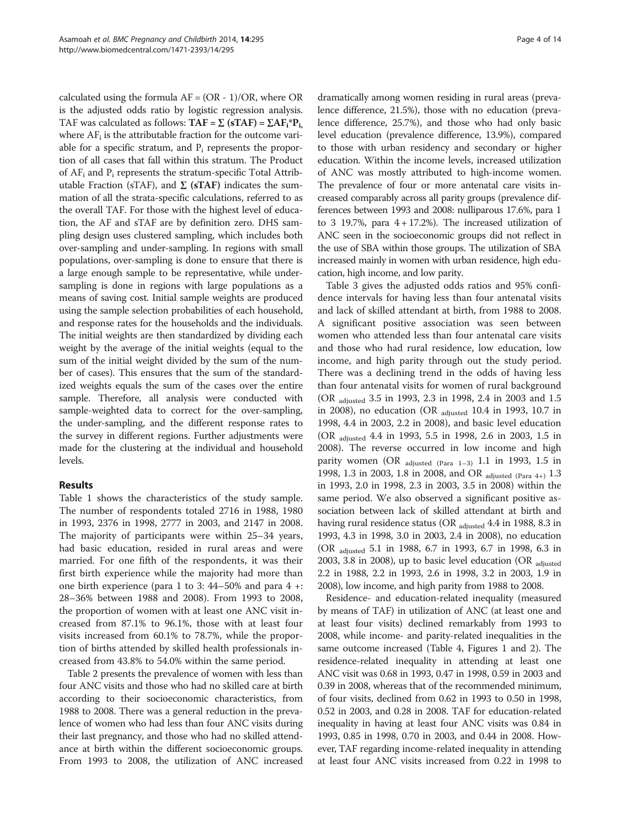calculated using the formula  $AF = (OR - 1)/OR$ , where OR is the adjusted odds ratio by logistic regression analysis. TAF was calculated as follows:  $TAF = \sum (sTAF) = \sum AF_i^*P_i$ , where  $AF_i$  is the attributable fraction for the outcome variable for a specific stratum, and  $P_i$  represents the proportion of all cases that fall within this stratum. The Product of  $AF_i$  and  $P_i$  represents the stratum-specific Total Attributable Fraction (sTAF), and  $\Sigma$  (sTAF) indicates the summation of all the strata-specific calculations, referred to as the overall TAF. For those with the highest level of education, the AF and sTAF are by definition zero. DHS sampling design uses clustered sampling, which includes both over-sampling and under-sampling. In regions with small populations, over-sampling is done to ensure that there is a large enough sample to be representative, while undersampling is done in regions with large populations as a means of saving cost. Initial sample weights are produced using the sample selection probabilities of each household, and response rates for the households and the individuals. The initial weights are then standardized by dividing each weight by the average of the initial weights (equal to the sum of the initial weight divided by the sum of the number of cases). This ensures that the sum of the standardized weights equals the sum of the cases over the entire sample. Therefore, all analysis were conducted with sample-weighted data to correct for the over-sampling, the under-sampling, and the different response rates to the survey in different regions. Further adjustments were made for the clustering at the individual and household levels.

#### Results

Table [1](#page-4-0) shows the characteristics of the study sample. The number of respondents totaled 2716 in 1988, 1980 in 1993, 2376 in 1998, 2777 in 2003, and 2147 in 2008. The majority of participants were within 25–34 years, had basic education, resided in rural areas and were married. For one fifth of the respondents, it was their first birth experience while the majority had more than one birth experience (para 1 to 3: 44–50% and para 4 +: 28–36% between 1988 and 2008). From 1993 to 2008, the proportion of women with at least one ANC visit increased from 87.1% to 96.1%, those with at least four visits increased from 60.1% to 78.7%, while the proportion of births attended by skilled health professionals increased from 43.8% to 54.0% within the same period.

Table [2](#page-5-0) presents the prevalence of women with less than four ANC visits and those who had no skilled care at birth according to their socioeconomic characteristics, from 1988 to 2008. There was a general reduction in the prevalence of women who had less than four ANC visits during their last pregnancy, and those who had no skilled attendance at birth within the different socioeconomic groups. From 1993 to 2008, the utilization of ANC increased

dramatically among women residing in rural areas (prevalence difference, 21.5%), those with no education (prevalence difference, 25.7%), and those who had only basic level education (prevalence difference, 13.9%), compared to those with urban residency and secondary or higher education. Within the income levels, increased utilization of ANC was mostly attributed to high-income women. The prevalence of four or more antenatal care visits increased comparably across all parity groups (prevalence differences between 1993 and 2008: nulliparous 17.6%, para 1 to 3 19.7%, para  $4 + 17.2$ %). The increased utilization of ANC seen in the socioeconomic groups did not reflect in the use of SBA within those groups. The utilization of SBA increased mainly in women with urban residence, high education, high income, and low parity.

Table [3](#page-6-0) gives the adjusted odds ratios and 95% confidence intervals for having less than four antenatal visits and lack of skilled attendant at birth, from 1988 to 2008. A significant positive association was seen between women who attended less than four antenatal care visits and those who had rural residence, low education, low income, and high parity through out the study period. There was a declining trend in the odds of having less than four antenatal visits for women of rural background (OR adjusted 3.5 in 1993, 2.3 in 1998, 2.4 in 2003 and 1.5 in 2008), no education (OR adjusted 10.4 in 1993, 10.7 in 1998, 4.4 in 2003, 2.2 in 2008), and basic level education (OR adjusted 4.4 in 1993, 5.5 in 1998, 2.6 in 2003, 1.5 in 2008). The reverse occurred in low income and high parity women (OR adjusted (Para 1–3) 1.1 in 1993, 1.5 in 1998, 1.3 in 2003, 1.8 in 2008, and OR adjusted (Para 4+) 1.3 in 1993, 2.0 in 1998, 2.3 in 2003, 3.5 in 2008) within the same period. We also observed a significant positive association between lack of skilled attendant at birth and having rural residence status (OR adjusted 4.4 in 1988, 8.3 in 1993, 4.3 in 1998, 3.0 in 2003, 2.4 in 2008), no education (OR adjusted 5.1 in 1988, 6.7 in 1993, 6.7 in 1998, 6.3 in 2003, 3.8 in 2008), up to basic level education (OR adjusted 2.2 in 1988, 2.2 in 1993, 2.6 in 1998, 3.2 in 2003, 1.9 in 2008), low income, and high parity from 1988 to 2008.

Residence- and education-related inequality (measured by means of TAF) in utilization of ANC (at least one and at least four visits) declined remarkably from 1993 to 2008, while income- and parity-related inequalities in the same outcome increased (Table [4,](#page-7-0) Figures [1](#page-9-0) and [2\)](#page-9-0). The residence-related inequality in attending at least one ANC visit was 0.68 in 1993, 0.47 in 1998, 0.59 in 2003 and 0.39 in 2008, whereas that of the recommended minimum, of four visits, declined from 0.62 in 1993 to 0.50 in 1998, 0.52 in 2003, and 0.28 in 2008. TAF for education-related inequality in having at least four ANC visits was 0.84 in 1993, 0.85 in 1998, 0.70 in 2003, and 0.44 in 2008. However, TAF regarding income-related inequality in attending at least four ANC visits increased from 0.22 in 1998 to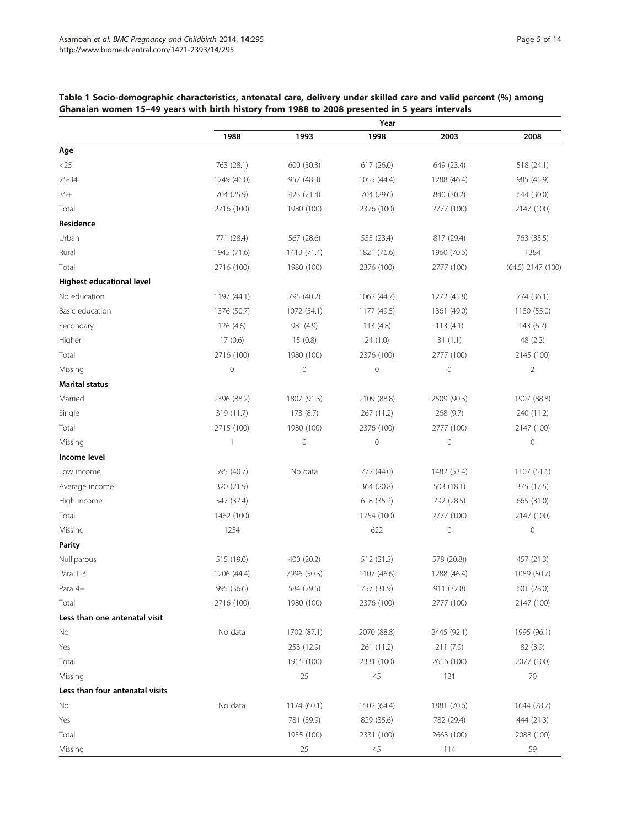|                                 | Year         |             |             |             |                   |  |  |
|---------------------------------|--------------|-------------|-------------|-------------|-------------------|--|--|
|                                 | 1988         | 1993        | 1998        | 2003        | 2008              |  |  |
| Age                             |              |             |             |             |                   |  |  |
| $<$ 25                          | 763 (28.1)   | 600 (30.3)  | 617 (26.0)  | 649 (23.4)  | 518 (24.1)        |  |  |
| 25-34                           | 1249 (46.0)  | 957 (48.3)  | 1055 (44.4) | 1288 (46.4) | 985 (45.9)        |  |  |
| $35+$                           | 704 (25.9)   | 423 (21.4)  | 704 (29.6)  | 840 (30.2)  | 644 (30.0)        |  |  |
| Total                           | 2716 (100)   | 1980 (100)  | 2376 (100)  | 2777 (100)  | 2147 (100)        |  |  |
| Residence                       |              |             |             |             |                   |  |  |
| Urban                           | 771 (28.4)   | 567 (28.6)  | 555 (23.4)  | 817 (29.4)  | 763 (35.5)        |  |  |
| Rural                           | 1945 (71.6)  | 1413 (71.4) | 1821 (76.6) | 1960 (70.6) | 1384              |  |  |
| Total                           | 2716 (100)   | 1980 (100)  | 2376 (100)  | 2777 (100)  | (64.5) 2147 (100) |  |  |
| Highest educational level       |              |             |             |             |                   |  |  |
| No education                    | 1197 (44.1)  | 795 (40.2)  | 1062 (44.7) | 1272 (45.8) | 774 (36.1)        |  |  |
| Basic education                 | 1376 (50.7)  | 1072 (54.1) | 1177 (49.5) | 1361 (49.0) | 1180 (55.0)       |  |  |
| Secondary                       | 126 (4.6)    | 98 (4.9)    | 113 (4.8)   | 113(4.1)    | 143(6.7)          |  |  |
| Higher                          | 17(0.6)      | 15(0.8)     | 24(1.0)     | 31(1.1)     | 48 (2.2)          |  |  |
| Total                           | 2716 (100)   | 1980 (100)  | 2376 (100)  | 2777 (100)  | 2145 (100)        |  |  |
| Missing                         | $\circ$      | $\mathbf 0$ | $\mathbb O$ | 0           | $\overline{2}$    |  |  |
| <b>Marital status</b>           |              |             |             |             |                   |  |  |
| Married                         | 2396 (88.2)  | 1807 (91.3) | 2109 (88.8) | 2509 (90.3) | 1907 (88.8)       |  |  |
| Single                          | 319 (11.7)   | 173 (8.7)   | 267 (11.2)  | 268 (9.7)   | 240 (11.2)        |  |  |
| Total                           | 2715 (100)   | 1980 (100)  | 2376 (100)  | 2777 (100)  | 2147 (100)        |  |  |
| Missing                         | $\mathbf{1}$ | $\circ$     | $\mathbb O$ | 0           | $\mathbf 0$       |  |  |
| Income level                    |              |             |             |             |                   |  |  |
| Low income                      | 595 (40.7)   | No data     | 772 (44.0)  | 1482 (53.4) | 1107 (51.6)       |  |  |
| Average income                  | 320 (21.9)   |             | 364 (20.8)  | 503 (18.1)  | 375 (17.5)        |  |  |
| High income                     | 547 (37.4)   |             | 618 (35.2)  | 792 (28.5)  | 665 (31.0)        |  |  |
| Total                           | 1462 (100)   |             | 1754 (100)  | 2777 (100)  | 2147 (100)        |  |  |
| Missing                         | 1254         |             | 622         | 0           | $\mathbf 0$       |  |  |
| <b>Parity</b>                   |              |             |             |             |                   |  |  |
| Nulliparous                     | 515 (19.0)   | 400 (20.2)  | 512 (21.5)  | 578 (20.8)) | 457 (21.3)        |  |  |
| Para 1-3                        | 1206 (44.4)  | 7996 (50.3) | 1107 (46.6) | 1288 (46.4) | 1089 (50.7)       |  |  |
| Para 4+                         | 995 (36.6)   | 584 (29.5)  | 757 (31.9)  | 911 (32.8)  | 601 (28.0)        |  |  |
| Total                           | 2716 (100)   | 1980 (100)  | 2376 (100)  | 2777 (100)  | 2147 (100)        |  |  |
| Less than one antenatal visit   |              |             |             |             |                   |  |  |
| No                              | No data      | 1702 (87.1) | 2070 (88.8) | 2445 (92.1) | 1995 (96.1)       |  |  |
| Yes                             |              | 253 (12.9)  | 261 (11.2)  | 211 (7.9)   | 82 (3.9)          |  |  |
| Total                           |              | 1955 (100)  | 2331 (100)  | 2656 (100)  | 2077 (100)        |  |  |
| Missing                         |              | 25          | 45          | 121         | 70                |  |  |
| Less than four antenatal visits |              |             |             |             |                   |  |  |
| No                              | No data      | 1174 (60.1) | 1502 (64.4) | 1881 (70.6) | 1644 (78.7)       |  |  |
| Yes                             |              | 781 (39.9)  | 829 (35.6)  | 782 (29.4)  | 444 (21.3)        |  |  |
| Total                           |              | 1955 (100)  | 2331 (100)  | 2663 (100)  | 2088 (100)        |  |  |
| Missing                         |              | 25          | 45          | 114         | 59                |  |  |

#### <span id="page-4-0"></span>Table 1 Socio-demographic characteristics, antenatal care, delivery under skilled care and valid percent (%) among Ghanaian women 15–49 years with birth history from 1988 to 2008 presented in 5 years intervals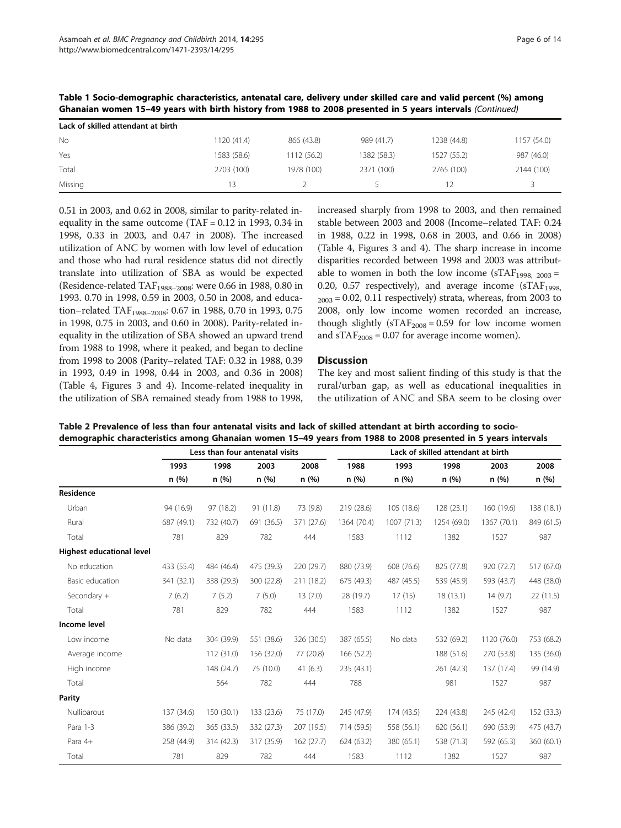| Lack of skilled attendant at birth |             |            |             |             |             |
|------------------------------------|-------------|------------|-------------|-------------|-------------|
| <b>No</b>                          | 1120 (41.4) | 866 (43.8) | 989 (41.7)  | 1238 (44.8) | 1157 (54.0) |
| Yes                                | 1583 (58.6) | 1112(56.2) | 1382 (58.3) | 1527 (55.2) | 987 (46.0)  |
| Total                              | 2703 (100)  | 1978 (100) | 2371 (100)  | 2765 (100)  | 2144 (100)  |
| Missing                            | 13          |            |             | 12          |             |

<span id="page-5-0"></span>Table 1 Socio-demographic characteristics, antenatal care, delivery under skilled care and valid percent (%) among Ghanaian women 15–49 years with birth history from 1988 to 2008 presented in 5 years intervals (Continued)

0.51 in 2003, and 0.62 in 2008, similar to parity-related inequality in the same outcome (TAF = 0.12 in 1993, 0.34 in 1998, 0.33 in 2003, and 0.47 in 2008). The increased utilization of ANC by women with low level of education and those who had rural residence status did not directly translate into utilization of SBA as would be expected (Residence-related TAF<sub>1988-2008</sub>: were 0.66 in 1988, 0.80 in 1993. 0.70 in 1998, 0.59 in 2003, 0.50 in 2008, and education–related TAF<sub>1988–2008</sub>: 0.67 in 1988, 0.70 in 1993, 0.75 in 1998, 0.75 in 2003, and 0.60 in 2008). Parity-related inequality in the utilization of SBA showed an upward trend from 1988 to 1998, where it peaked, and began to decline from 1998 to 2008 (Parity–related TAF: 0.32 in 1988, 0.39 in 1993, 0.49 in 1998, 0.44 in 2003, and 0.36 in 2008) (Table [4,](#page-7-0) Figures [3](#page-9-0) and [4](#page-9-0)). Income-related inequality in the utilization of SBA remained steady from 1988 to 1998,

increased sharply from 1998 to 2003, and then remained stable between 2003 and 2008 (Income–related TAF: 0.24 in 1988, 0.22 in 1998, 0.68 in 2003, and 0.66 in 2008) (Table [4](#page-7-0), Figures [3](#page-9-0) and [4\)](#page-9-0). The sharp increase in income disparities recorded between 1998 and 2003 was attributable to women in both the low income  $(sTAF<sub>1998, 2003</sub> =$ 0.20, 0.57 respectively), and average income  $(STAF<sub>1998</sub>)$  $_{2003}$  = 0.02, 0.11 respectively) strata, whereas, from 2003 to 2008, only low income women recorded an increase, though slightly  $(sTAF<sub>2008</sub> = 0.59$  for low income women and  $sTAF_{2008} = 0.07$  for average income women).

#### **Discussion**

The key and most salient finding of this study is that the rural/urban gap, as well as educational inequalities in the utilization of ANC and SBA seem to be closing over

|                           | Less than four antenatal visits |            |            | Lack of skilled attendant at birth |             |             |             |             |            |
|---------------------------|---------------------------------|------------|------------|------------------------------------|-------------|-------------|-------------|-------------|------------|
|                           | 1993                            | 1998       | 2003       | 2008                               | 1988        | 1993        | 1998        | 2003        | 2008       |
|                           | n(%)                            | n(%)       | n(%)       | n(%)                               | n(%)        | n(%)        | n (%)       | n(%)        | n(%)       |
| Residence                 |                                 |            |            |                                    |             |             |             |             |            |
| Urban                     | 94 (16.9)                       | 97 (18.2)  | 91 (11.8)  | 73 (9.8)                           | 219 (28.6)  | 105 (18.6)  | 128(23.1)   | 160 (19.6)  | 138 (18.1) |
| Rural                     | 687 (49.1)                      | 732 (40.7) | 691 (36.5) | 371 (27.6)                         | 1364 (70.4) | 1007 (71.3) | 1254 (69.0) | 1367 (70.1) | 849 (61.5) |
| Total                     | 781                             | 829        | 782        | 444                                | 1583        | 1112        | 1382        | 1527        | 987        |
| Highest educational level |                                 |            |            |                                    |             |             |             |             |            |
| No education              | 433 (55.4)                      | 484 (46.4) | 475 (39.3) | 220 (29.7)                         | 880 (73.9)  | 608 (76.6)  | 825 (77.8)  | 920 (72.7)  | 517 (67.0) |
| Basic education           | 341 (32.1)                      | 338 (29.3) | 300 (22.8) | 211 (18.2)                         | 675 (49.3)  | 487 (45.5)  | 539 (45.9)  | 593 (43.7)  | 448 (38.0) |
| Secondary +               | 7(6.2)                          | 7(5.2)     | 7(5.0)     | 13(7.0)                            | 28 (19.7)   | 17(15)      | 18(13.1)    | 14(9.7)     | 22(11.5)   |
| Total                     | 781                             | 829        | 782        | 444                                | 1583        | 1112        | 1382        | 1527        | 987        |
| Income level              |                                 |            |            |                                    |             |             |             |             |            |
| Low income                | No data                         | 304 (39.9) | 551 (38.6) | 326 (30.5)                         | 387 (65.5)  | No data     | 532 (69.2)  | 1120 (76.0) | 753 (68.2) |
| Average income            |                                 | 112 (31.0) | 156 (32.0) | 77 (20.8)                          | 166 (52.2)  |             | 188 (51.6)  | 270 (53.8)  | 135 (36.0) |
| High income               |                                 | 148 (24.7) | 75 (10.0)  | 41(6.3)                            | 235 (43.1)  |             | 261(42.3)   | 137 (17.4)  | 99 (14.9)  |
| Total                     |                                 | 564        | 782        | 444                                | 788         |             | 981         | 1527        | 987        |
| Parity                    |                                 |            |            |                                    |             |             |             |             |            |
| Nulliparous               | 137 (34.6)                      | 150 (30.1) | 133 (23.6) | 75 (17.0)                          | 245 (47.9)  | 174 (43.5)  | 224 (43.8)  | 245 (42.4)  | 152 (33.3) |
| Para 1-3                  | 386 (39.2)                      | 365 (33.5) | 332 (27.3) | 207 (19.5)                         | 714 (59.5)  | 558 (56.1)  | 620(56.1)   | 690 (53.9)  | 475 (43.7) |
| Para 4+                   | 258 (44.9)                      | 314 (42.3) | 317 (35.9) | 162(27.7)                          | 624(63.2)   | 380 (65.1)  | 538 (71.3)  | 592 (65.3)  | 360 (60.1) |
| Total                     | 781                             | 829        | 782        | 444                                | 1583        | 1112        | 1382        | 1527        | 987        |

Table 2 Prevalence of less than four antenatal visits and lack of skilled attendant at birth according to sociodemographic characteristics among Ghanaian women 15–49 years from 1988 to 2008 presented in 5 years intervals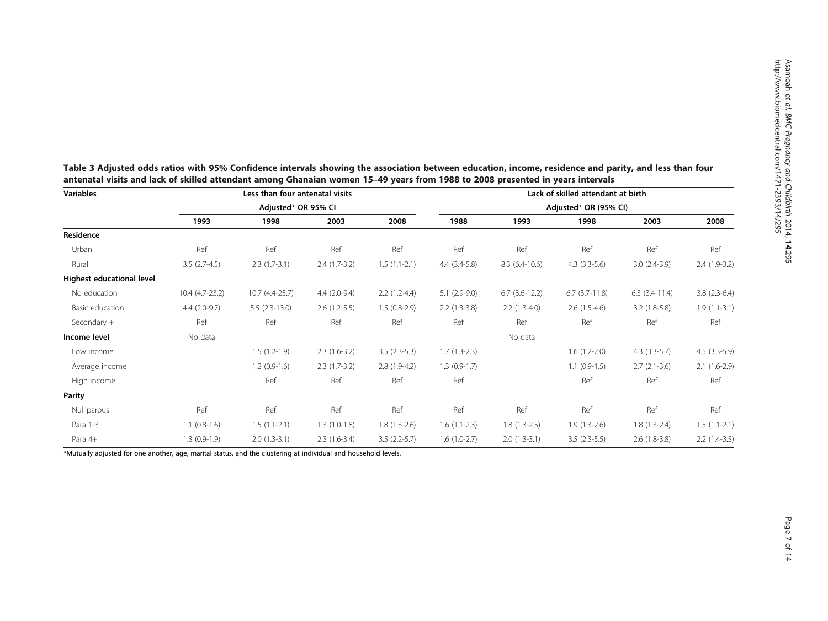| Variables                 |                  | Less than four antenatal visits |                |                |                       |                 | Lack of skilled attendant at birth |                 |                |  |
|---------------------------|------------------|---------------------------------|----------------|----------------|-----------------------|-----------------|------------------------------------|-----------------|----------------|--|
|                           |                  | Adjusted* OR 95% CI             |                |                | Adjusted* OR (95% CI) |                 |                                    |                 |                |  |
|                           | 1993             | 1998                            | 2003           | 2008           | 1988                  | 1993            | 1998                               | 2003            | 2008           |  |
| Residence                 |                  |                                 |                |                |                       |                 |                                    |                 |                |  |
| Urban                     | Ref              | Ref                             | Ref            | Ref            | Ref                   | Ref             | Ref                                | Ref             | Ref            |  |
| Rural                     | $3.5(2.7-4.5)$   | $2.3(1.7-3.1)$                  | $2.4(1.7-3.2)$ | $1.5(1.1-2.1)$ | $4.4(3.4-5.8)$        | $8.3(6.4-10.6)$ | $4.3$ $(3.3-5.6)$                  | $3.0(2.4-3.9)$  | $2.4(1.9-3.2)$ |  |
| Highest educational level |                  |                                 |                |                |                       |                 |                                    |                 |                |  |
| No education              | $10.4(4.7-23.2)$ | $10.7(4.4-25.7)$                | $4.4(2.0-9.4)$ | $2.2(1.2-4.4)$ | $5.1(2.9-9.0)$        | $6.7(3.6-12.2)$ | $6.7$ $(3.7-11.8)$                 | $6.3(3.4-11.4)$ | $3.8(2.3-6.4)$ |  |
| Basic education           | $4.4(2.0-9.7)$   | $5.5(2.3-13.0)$                 | $2.6(1.2-5.5)$ | $1.5(0.8-2.9)$ | $2.2(1.3-3.8)$        | $2.2(1.3-4.0)$  | $2.6(1.5-4.6)$                     | $3.2(1.8-5.8)$  | $1.9(1.1-3.1)$ |  |
| Secondary $+$             | Ref              | Ref                             | Ref            | Ref            | Ref                   | Ref             | Ref                                | Ref             | Ref            |  |
| Income level              | No data          |                                 |                |                |                       | No data         |                                    |                 |                |  |
| Low income                |                  | $1.5(1.2-1.9)$                  | $2.3(1.6-3.2)$ | $3.5(2.3-5.3)$ | $1.7(1.3-2.3)$        |                 | $1.6(1.2-2.0)$                     | $4.3(3.3-5.7)$  | $4.5(3.3-5.9)$ |  |
| Average income            |                  | $1.2(0.9-1.6)$                  | $2.3(1.7-3.2)$ | $2.8(1.9-4.2)$ | $1.3(0.9-1.7)$        |                 | $1.1(0.9-1.5)$                     | $2.7(2.1-3.6)$  | $2.1(1.6-2.9)$ |  |
| High income               |                  | Ref                             | Ref            | Ref            | Ref                   |                 | Ref                                | Ref             | Ref            |  |
| <b>Parity</b>             |                  |                                 |                |                |                       |                 |                                    |                 |                |  |
| Nulliparous               | Ref              | Ref                             | Ref            | Ref            | Ref                   | Ref             | Ref                                | Ref             | Ref            |  |
| Para 1-3                  | $1.1(0.8-1.6)$   | $1.5(1.1-2.1)$                  | $1.3(1.0-1.8)$ | $1.8(1.3-2.6)$ | $1.6(1.1-2.3)$        | $1.8(1.3-2.5)$  | $1.9(1.3-2.6)$                     | $1.8(1.3-2.4)$  | $1.5(1.1-2.1)$ |  |
| Para 4+                   | $1.3(0.9-1.9)$   | $2.0(1.3-3.1)$                  | $2.3(1.6-3.4)$ | $3.5(2.2-5.7)$ | $1.6(1.0-2.7)$        | $2.0(1.3-3.1)$  | $3.5(2.3-5.5)$                     | $2.6(1.8-3.8)$  | $2.2(1.4-3.3)$ |  |

<span id="page-6-0"></span>Table 3 Adjusted odds ratios with 95% Confidence intervals showing the association between education, income, residence and parity, and less than four antenatal visits and lack of skilled attendant among Ghanaian women 15–49 years from 1988 to 2008 presented in years intervals

\*Mutually adjusted for one another, age, marital status, and the clustering at individual and household levels.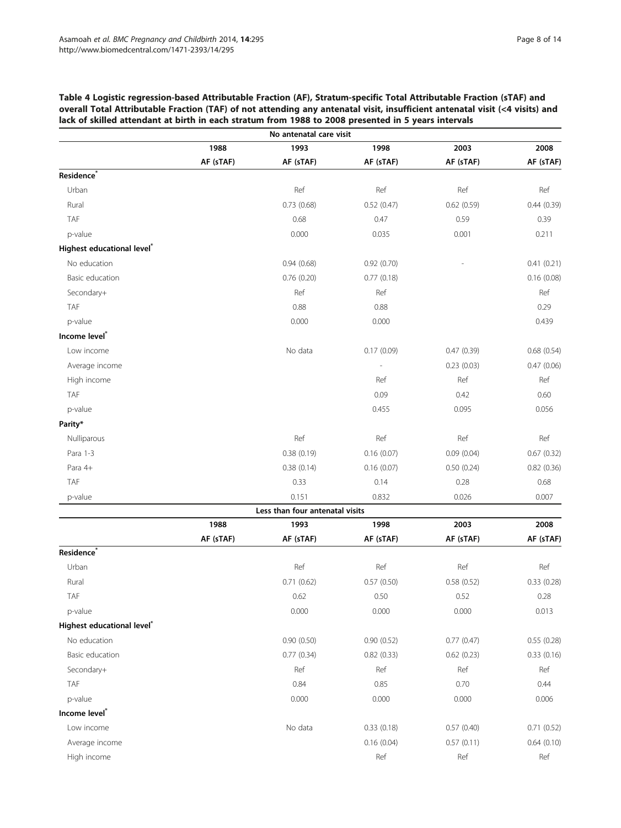|                                        |           | No antenatal care visit         |            |            |            |
|----------------------------------------|-----------|---------------------------------|------------|------------|------------|
|                                        | 1988      | 1993                            | 1998       | 2003       | 2008       |
|                                        | AF (sTAF) | AF (sTAF)                       | AF (sTAF)  | AF (sTAF)  | AF (sTAF)  |
| Residence <sup>*</sup>                 |           |                                 |            |            |            |
| Urban                                  |           | Ref                             | Ref        | Ref        | Ref        |
| Rural                                  |           | 0.73(0.68)                      | 0.52(0.47) | 0.62(0.59) | 0.44(0.39) |
| TAF                                    |           | 0.68                            | 0.47       | 0.59       | 0.39       |
| p-value                                |           | 0.000                           | 0.035      | 0.001      | 0.211      |
| Highest educational level <sup>*</sup> |           |                                 |            |            |            |
| No education                           |           | 0.94(0.68)                      | 0.92(0.70) |            | 0.41(0.21) |
| Basic education                        |           | 0.76(0.20)                      | 0.77(0.18) |            | 0.16(0.08) |
| Secondary+                             |           | Ref                             | Ref        |            | Ref        |
| TAF                                    |           | 0.88                            | 0.88       |            | 0.29       |
| p-value                                |           | 0.000                           | 0.000      |            | 0.439      |
| Income level*                          |           |                                 |            |            |            |
| Low income                             |           | No data                         | 0.17(0.09) | 0.47(0.39) | 0.68(0.54) |
| Average income                         |           |                                 |            | 0.23(0.03) | 0.47(0.06) |
| High income                            |           |                                 | Ref        | Ref        | Ref        |
| TAF                                    |           |                                 | 0.09       | 0.42       | 0.60       |
| p-value                                |           |                                 | 0.455      | 0.095      | 0.056      |
| Parity*                                |           |                                 |            |            |            |
| Nulliparous                            |           | Ref                             | Ref        | Ref        | Ref        |
| Para 1-3                               |           | 0.38(0.19)                      | 0.16(0.07) | 0.09(0.04) | 0.67(0.32) |
| Para 4+                                |           | 0.38(0.14)                      | 0.16(0.07) | 0.50(0.24) | 0.82(0.36) |
| TAF                                    |           | 0.33                            | 0.14       | 0.28       | 0.68       |
| p-value                                |           | 0.151                           | 0.832      | 0.026      | 0.007      |
|                                        |           | Less than four antenatal visits |            |            |            |
|                                        | 1988      | 1993                            | 1998       | 2003       | 2008       |
|                                        | AF (sTAF) | AF (sTAF)                       | AF (sTAF)  | AF (sTAF)  | AF (sTAF)  |
| Residence <sup>®</sup>                 |           |                                 |            |            |            |
| Urban                                  |           | Ref                             | Ref        | Ref        | Ref        |
| Rural                                  |           | 0.71(0.62)                      | 0.57(0.50) | 0.58(0.52) | 0.33(0.28) |
| TAF                                    |           | 0.62                            | 0.50       | 0.52       | 0.28       |
| p-value                                |           | 0.000                           | 0.000      | 0.000      | 0.013      |
| Highest educational level <sup>*</sup> |           |                                 |            |            |            |
| No education                           |           | 0.90(0.50)                      | 0.90(0.52) | 0.77(0.47) | 0.55(0.28) |
| Basic education                        |           | 0.77(0.34)                      | 0.82(0.33) | 0.62(0.23) | 0.33(0.16) |
| Secondary+                             |           | Ref                             | Ref        | Ref        | Ref        |
| TAF                                    |           | 0.84                            | 0.85       | 0.70       | 0.44       |
| p-value                                |           | 0.000                           | 0.000      | 0.000      | 0.006      |
| Income level*                          |           |                                 |            |            |            |
| Low income                             |           | No data                         | 0.33(0.18) | 0.57(0.40) | 0.71(0.52) |
| Average income                         |           |                                 | 0.16(0.04) | 0.57(0.11) | 0.64(0.10) |
| High income                            |           |                                 | Ref        | Ref        | Ref        |

#### <span id="page-7-0"></span>Table 4 Logistic regression-based Attributable Fraction (AF), Stratum-specific Total Attributable Fraction (sTAF) and overall Total Attributable Fraction (TAF) of not attending any antenatal visit, insufficient antenatal visit (<4 visits) and lack of skilled attendant at birth in each stratum from 1988 to 2008 presented in 5 years intervals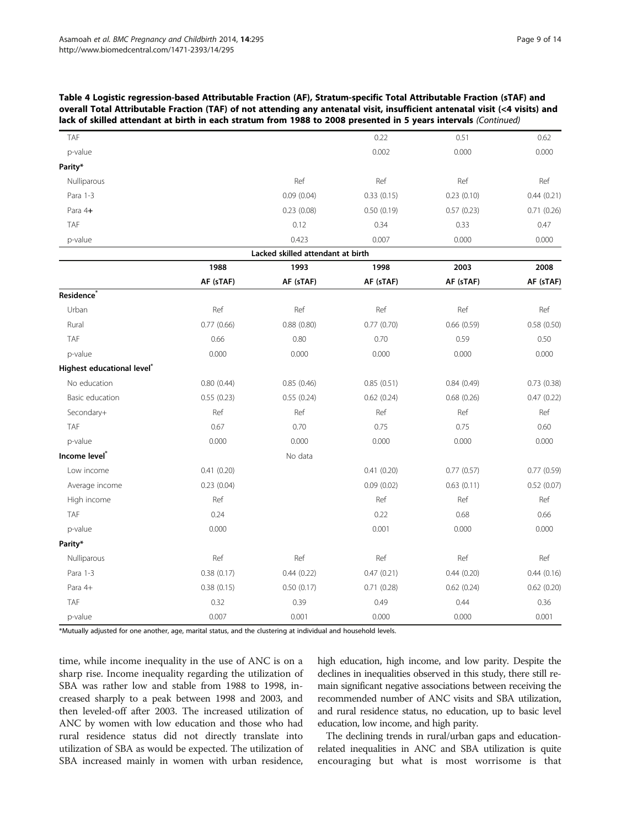#### Table 4 Logistic regression-based Attributable Fraction (AF), Stratum-specific Total Attributable Fraction (sTAF) and overall Total Attributable Fraction (TAF) of not attending any antenatal visit, insufficient antenatal visit (<4 visits) and lack of skilled attendant at birth in each stratum from 1988 to 2008 presented in 5 years intervals (Continued)

| <b>TAF</b>                 |            |                                   | 0.22       | 0.51       | 0.62       |
|----------------------------|------------|-----------------------------------|------------|------------|------------|
| p-value                    |            |                                   | 0.002      | 0.000      | 0.000      |
| Parity*                    |            |                                   |            |            |            |
| Nulliparous                |            | Ref                               | Ref        | Ref        | Ref        |
| Para 1-3                   |            | 0.09(0.04)                        | 0.33(0.15) | 0.23(0.10) | 0.44(0.21) |
| Para 4+                    |            | 0.23(0.08)                        | 0.50(0.19) | 0.57(0.23) | 0.71(0.26) |
| <b>TAF</b>                 |            | 0.12                              | 0.34       | 0.33       | 0.47       |
| p-value                    |            | 0.423                             | 0.007      | 0.000      | 0.000      |
|                            |            | Lacked skilled attendant at birth |            |            |            |
|                            | 1988       | 1993                              | 1998       | 2003       | 2008       |
|                            | AF (sTAF)  | AF (sTAF)                         | AF (sTAF)  | AF (sTAF)  | AF (sTAF)  |
| Residence <sup>®</sup>     |            |                                   |            |            |            |
| Urban                      | Ref        | Ref                               | Ref        | Ref        | Ref        |
| Rural                      | 0.77(0.66) | 0.88(0.80)                        | 0.77(0.70) | 0.66(0.59) | 0.58(0.50) |
| TAF                        | 0.66       | 0.80                              | 0.70       | 0.59       | 0.50       |
| p-value                    | 0.000      | 0.000                             | 0.000      | 0.000      | 0.000      |
| Highest educational level® |            |                                   |            |            |            |
| No education               | 0.80(0.44) | 0.85(0.46)                        | 0.85(0.51) | 0.84(0.49) | 0.73(0.38) |
| Basic education            | 0.55(0.23) | 0.55(0.24)                        | 0.62(0.24) | 0.68(0.26) | 0.47(0.22) |
| Secondary+                 | Ref        | Ref                               | Ref        | Ref        | Ref        |
| TAF                        | 0.67       | 0.70                              | 0.75       | 0.75       | 0.60       |
| p-value                    | 0.000      | 0.000                             | 0.000      | 0.000      | 0.000      |
| Income level <sup>*</sup>  |            | No data                           |            |            |            |
| Low income                 | 0.41(0.20) |                                   | 0.41(0.20) | 0.77(0.57) | 0.77(0.59) |
| Average income             | 0.23(0.04) |                                   | 0.09(0.02) | 0.63(0.11) | 0.52(0.07) |
| High income                | Ref        |                                   | Ref        | Ref        | Ref        |
| TAF                        | 0.24       |                                   | 0.22       | 0.68       | 0.66       |
| p-value                    | 0.000      |                                   | 0.001      | 0.000      | 0.000      |
| Parity*                    |            |                                   |            |            |            |
| Nulliparous                | Ref        | Ref                               | Ref        | Ref        | Ref        |
| Para 1-3                   | 0.38(0.17) | 0.44(0.22)                        | 0.47(0.21) | 0.44(0.20) | 0.44(0.16) |
| Para 4+                    | 0.38(0.15) | 0.50(0.17)                        | 0.71(0.28) | 0.62(0.24) | 0.62(0.20) |
| TAF                        | 0.32       | 0.39                              | 0.49       | 0.44       | 0.36       |
| p-value                    | 0.007      | 0.001                             | 0.000      | 0.000      | 0.001      |

\*Mutually adjusted for one another, age, marital status, and the clustering at individual and household levels.

time, while income inequality in the use of ANC is on a sharp rise. Income inequality regarding the utilization of SBA was rather low and stable from 1988 to 1998, increased sharply to a peak between 1998 and 2003, and then leveled-off after 2003. The increased utilization of ANC by women with low education and those who had rural residence status did not directly translate into utilization of SBA as would be expected. The utilization of SBA increased mainly in women with urban residence,

high education, high income, and low parity. Despite the declines in inequalities observed in this study, there still remain significant negative associations between receiving the recommended number of ANC visits and SBA utilization, and rural residence status, no education, up to basic level education, low income, and high parity.

The declining trends in rural/urban gaps and educationrelated inequalities in ANC and SBA utilization is quite encouraging but what is most worrisome is that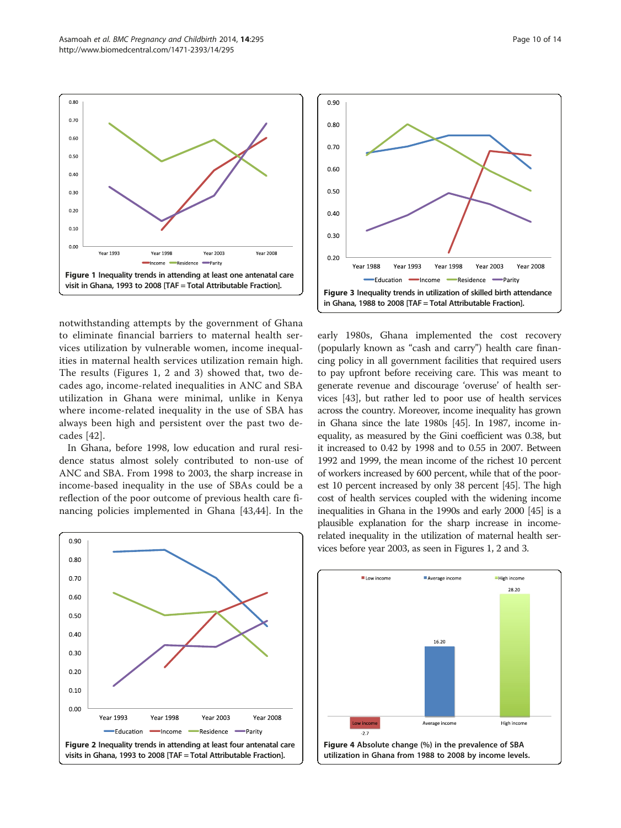notwithstanding attempts by the government of Ghana to eliminate financial barriers to maternal health services utilization by vulnerable women, income inequalities in maternal health services utilization remain high. The results (Figures 1, 2 and 3) showed that, two decades ago, income-related inequalities in ANC and SBA utilization in Ghana were minimal, unlike in Kenya where income-related inequality in the use of SBA has always been high and persistent over the past two decades [\[42](#page-12-0)].

In Ghana, before 1998, low education and rural residence status almost solely contributed to non-use of ANC and SBA. From 1998 to 2003, the sharp increase in income-based inequality in the use of SBAs could be a reflection of the poor outcome of previous health care financing policies implemented in Ghana [\[43,44\]](#page-13-0). In the





early 1980s, Ghana implemented the cost recovery (popularly known as "cash and carry") health care financing policy in all government facilities that required users to pay upfront before receiving care. This was meant to generate revenue and discourage 'overuse' of health services [\[43\]](#page-13-0), but rather led to poor use of health services across the country. Moreover, income inequality has grown in Ghana since the late 1980s [[45](#page-13-0)]. In 1987, income inequality, as measured by the Gini coefficient was 0.38, but it increased to 0.42 by 1998 and to 0.55 in 2007. Between 1992 and 1999, the mean income of the richest 10 percent of workers increased by 600 percent, while that of the poorest 10 percent increased by only 38 percent [[45](#page-13-0)]. The high cost of health services coupled with the widening income inequalities in Ghana in the 1990s and early 2000 [\[45\]](#page-13-0) is a plausible explanation for the sharp increase in incomerelated inequality in the utilization of maternal health services before year 2003, as seen in Figures 1, 2 and 3.



<span id="page-9-0"></span>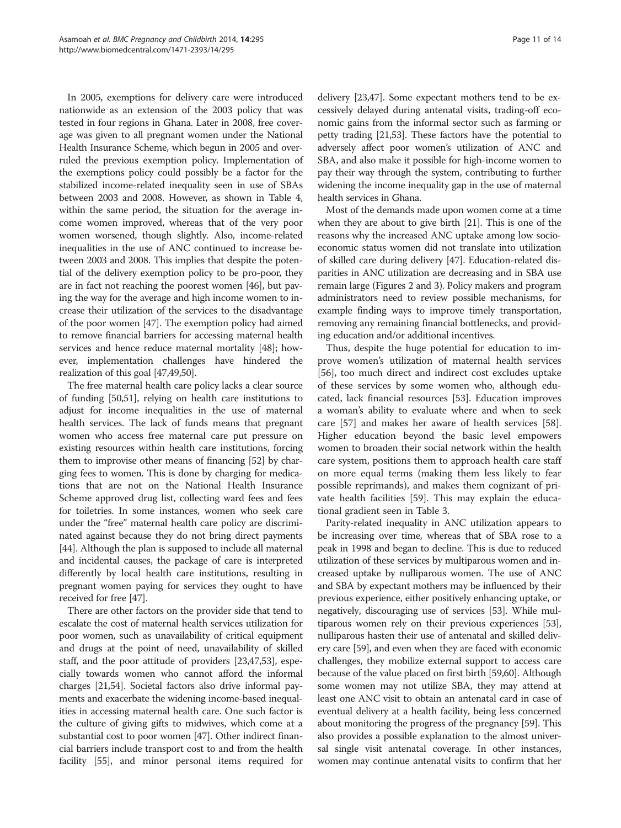In 2005, exemptions for delivery care were introduced nationwide as an extension of the 2003 policy that was tested in four regions in Ghana. Later in 2008, free coverage was given to all pregnant women under the National Health Insurance Scheme, which begun in 2005 and overruled the previous exemption policy. Implementation of the exemptions policy could possibly be a factor for the stabilized income-related inequality seen in use of SBAs between 2003 and 2008. However, as shown in Table [4](#page-7-0), within the same period, the situation for the average income women improved, whereas that of the very poor women worsened, though slightly. Also, income-related inequalities in the use of ANC continued to increase between 2003 and 2008. This implies that despite the potential of the delivery exemption policy to be pro-poor, they are in fact not reaching the poorest women [[46](#page-13-0)], but paving the way for the average and high income women to increase their utilization of the services to the disadvantage of the poor women [\[47\]](#page-13-0). The exemption policy had aimed to remove financial barriers for accessing maternal health services and hence reduce maternal mortality [\[48\]](#page-13-0); however, implementation challenges have hindered the realization of this goal [\[47,49,50](#page-13-0)].

The free maternal health care policy lacks a clear source of funding [\[50,51](#page-13-0)], relying on health care institutions to adjust for income inequalities in the use of maternal health services. The lack of funds means that pregnant women who access free maternal care put pressure on existing resources within health care institutions, forcing them to improvise other means of financing [\[52](#page-13-0)] by charging fees to women. This is done by charging for medications that are not on the National Health Insurance Scheme approved drug list, collecting ward fees and fees for toiletries. In some instances, women who seek care under the "free" maternal health care policy are discriminated against because they do not bring direct payments [[44](#page-13-0)]. Although the plan is supposed to include all maternal and incidental causes, the package of care is interpreted differently by local health care institutions, resulting in pregnant women paying for services they ought to have received for free [[47](#page-13-0)].

There are other factors on the provider side that tend to escalate the cost of maternal health services utilization for poor women, such as unavailability of critical equipment and drugs at the point of need, unavailability of skilled staff, and the poor attitude of providers [[23](#page-12-0)[,47,53\]](#page-13-0), especially towards women who cannot afford the informal charges [\[21,](#page-12-0)[54](#page-13-0)]. Societal factors also drive informal payments and exacerbate the widening income-based inequalities in accessing maternal health care. One such factor is the culture of giving gifts to midwives, which come at a substantial cost to poor women [\[47\]](#page-13-0). Other indirect financial barriers include transport cost to and from the health facility [\[55\]](#page-13-0), and minor personal items required for

delivery [[23](#page-12-0)[,47\]](#page-13-0). Some expectant mothers tend to be excessively delayed during antenatal visits, trading-off economic gains from the informal sector such as farming or petty trading [\[21,](#page-12-0)[53](#page-13-0)]. These factors have the potential to adversely affect poor women's utilization of ANC and SBA, and also make it possible for high-income women to pay their way through the system, contributing to further widening the income inequality gap in the use of maternal health services in Ghana.

Most of the demands made upon women come at a time when they are about to give birth [\[21\]](#page-12-0). This is one of the reasons why the increased ANC uptake among low socioeconomic status women did not translate into utilization of skilled care during delivery [\[47\]](#page-13-0). Education-related disparities in ANC utilization are decreasing and in SBA use remain large (Figures [2](#page-9-0) and [3](#page-9-0)). Policy makers and program administrators need to review possible mechanisms, for example finding ways to improve timely transportation, removing any remaining financial bottlenecks, and providing education and/or additional incentives.

Thus, despite the huge potential for education to improve women's utilization of maternal health services [[56\]](#page-13-0), too much direct and indirect cost excludes uptake of these services by some women who, although educated, lack financial resources [[53\]](#page-13-0). Education improves a woman's ability to evaluate where and when to seek care [\[57\]](#page-13-0) and makes her aware of health services [\[58](#page-13-0)]. Higher education beyond the basic level empowers women to broaden their social network within the health care system, positions them to approach health care staff on more equal terms (making them less likely to fear possible reprimands), and makes them cognizant of private health facilities [\[59](#page-13-0)]. This may explain the educational gradient seen in Table [3](#page-6-0).

Parity-related inequality in ANC utilization appears to be increasing over time, whereas that of SBA rose to a peak in 1998 and began to decline. This is due to reduced utilization of these services by multiparous women and increased uptake by nulliparous women. The use of ANC and SBA by expectant mothers may be influenced by their previous experience, either positively enhancing uptake, or negatively, discouraging use of services [\[53\]](#page-13-0). While multiparous women rely on their previous experiences [[53](#page-13-0)], nulliparous hasten their use of antenatal and skilled delivery care [[59](#page-13-0)], and even when they are faced with economic challenges, they mobilize external support to access care because of the value placed on first birth [[59,60](#page-13-0)]. Although some women may not utilize SBA, they may attend at least one ANC visit to obtain an antenatal card in case of eventual delivery at a health facility, being less concerned about monitoring the progress of the pregnancy [\[59\]](#page-13-0). This also provides a possible explanation to the almost universal single visit antenatal coverage. In other instances, women may continue antenatal visits to confirm that her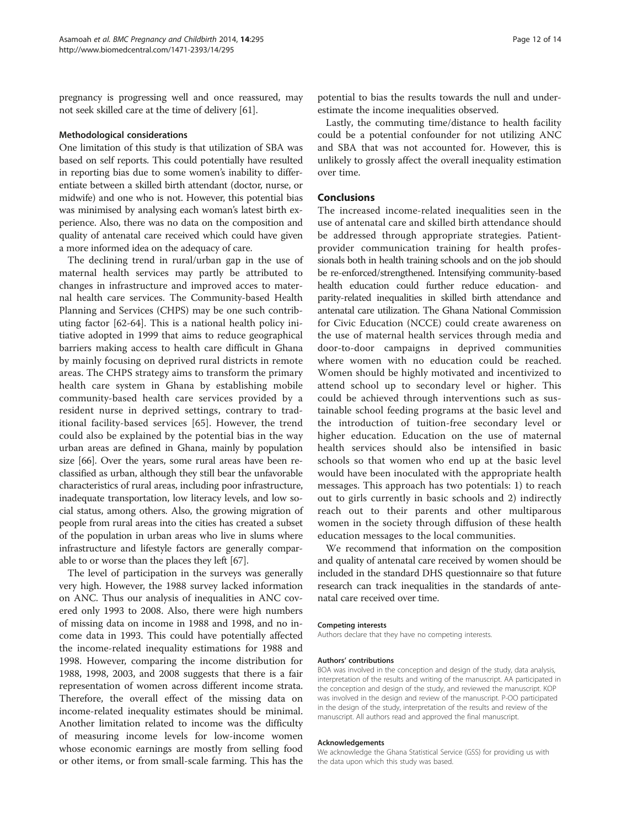pregnancy is progressing well and once reassured, may not seek skilled care at the time of delivery [[61](#page-13-0)].

#### Methodological considerations

One limitation of this study is that utilization of SBA was based on self reports. This could potentially have resulted in reporting bias due to some women's inability to differentiate between a skilled birth attendant (doctor, nurse, or midwife) and one who is not. However, this potential bias was minimised by analysing each woman's latest birth experience. Also, there was no data on the composition and quality of antenatal care received which could have given a more informed idea on the adequacy of care.

The declining trend in rural/urban gap in the use of maternal health services may partly be attributed to changes in infrastructure and improved acces to maternal health care services. The Community-based Health Planning and Services (CHPS) may be one such contributing factor [[62-64](#page-13-0)]. This is a national health policy initiative adopted in 1999 that aims to reduce geographical barriers making access to health care difficult in Ghana by mainly focusing on deprived rural districts in remote areas. The CHPS strategy aims to transform the primary health care system in Ghana by establishing mobile community-based health care services provided by a resident nurse in deprived settings, contrary to traditional facility-based services [\[65](#page-13-0)]. However, the trend could also be explained by the potential bias in the way urban areas are defined in Ghana, mainly by population size [\[66\]](#page-13-0). Over the years, some rural areas have been reclassified as urban, although they still bear the unfavorable characteristics of rural areas, including poor infrastructure, inadequate transportation, low literacy levels, and low social status, among others. Also, the growing migration of people from rural areas into the cities has created a subset of the population in urban areas who live in slums where infrastructure and lifestyle factors are generally comparable to or worse than the places they left [[67](#page-13-0)].

The level of participation in the surveys was generally very high. However, the 1988 survey lacked information on ANC. Thus our analysis of inequalities in ANC covered only 1993 to 2008. Also, there were high numbers of missing data on income in 1988 and 1998, and no income data in 1993. This could have potentially affected the income-related inequality estimations for 1988 and 1998. However, comparing the income distribution for 1988, 1998, 2003, and 2008 suggests that there is a fair representation of women across different income strata. Therefore, the overall effect of the missing data on income-related inequality estimates should be minimal. Another limitation related to income was the difficulty of measuring income levels for low-income women whose economic earnings are mostly from selling food or other items, or from small-scale farming. This has the

potential to bias the results towards the null and underestimate the income inequalities observed.

Lastly, the commuting time/distance to health facility could be a potential confounder for not utilizing ANC and SBA that was not accounted for. However, this is unlikely to grossly affect the overall inequality estimation over time.

#### Conclusions

The increased income-related inequalities seen in the use of antenatal care and skilled birth attendance should be addressed through appropriate strategies. Patientprovider communication training for health professionals both in health training schools and on the job should be re-enforced/strengthened. Intensifying community-based health education could further reduce education- and parity-related inequalities in skilled birth attendance and antenatal care utilization. The Ghana National Commission for Civic Education (NCCE) could create awareness on the use of maternal health services through media and door-to-door campaigns in deprived communities where women with no education could be reached. Women should be highly motivated and incentivized to attend school up to secondary level or higher. This could be achieved through interventions such as sustainable school feeding programs at the basic level and the introduction of tuition-free secondary level or higher education. Education on the use of maternal health services should also be intensified in basic schools so that women who end up at the basic level would have been inoculated with the appropriate health messages. This approach has two potentials: 1) to reach out to girls currently in basic schools and 2) indirectly reach out to their parents and other multiparous women in the society through diffusion of these health education messages to the local communities.

We recommend that information on the composition and quality of antenatal care received by women should be included in the standard DHS questionnaire so that future research can track inequalities in the standards of antenatal care received over time.

#### Competing interests

Authors declare that they have no competing interests.

#### Authors' contributions

BOA was involved in the conception and design of the study, data analysis, interpretation of the results and writing of the manuscript. AA participated in the conception and design of the study, and reviewed the manuscript. KOP was involved in the design and review of the manuscript. P-OO participated in the design of the study, interpretation of the results and review of the manuscript. All authors read and approved the final manuscript.

#### Acknowledgements

We acknowledge the Ghana Statistical Service (GSS) for providing us with the data upon which this study was based.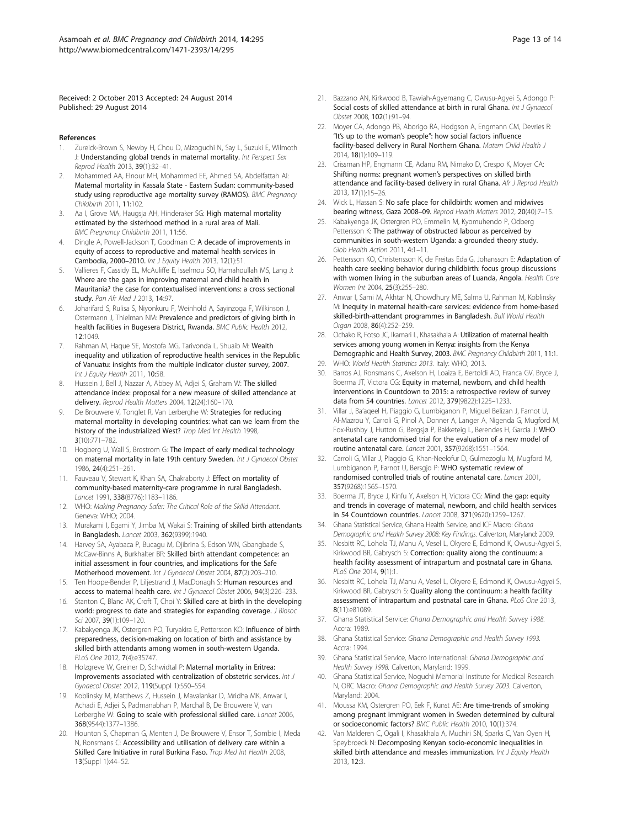<span id="page-12-0"></span>Received: 2 October 2013 Accepted: 24 August 2014 Published: 29 August 2014

#### References

- Zureick-Brown S, Newby H, Chou D, Mizoguchi N, Say L, Suzuki E, Wilmoth J: Understanding global trends in maternal mortality. Int Perspect Sex Reprod Health 2013, 39(1):32–41.
- 2. Mohammed AA, Elnour MH, Mohammed EE, Ahmed SA, Abdelfattah AI: Maternal mortality in Kassala State - Eastern Sudan: community-based study using reproductive age mortality survey (RAMOS). BMC Pregnancy Childbirth 2011, 11:102.
- 3. Aa I, Grove MA, Haugsja AH, Hinderaker SG: High maternal mortality estimated by the sisterhood method in a rural area of Mali. BMC Pregnancy Childbirth 2011, 11:56.
- Dingle A, Powell-Jackson T, Goodman C: A decade of improvements in equity of access to reproductive and maternal health services in Cambodia, 2000–2010. Int J Equity Health 2013, 12(1):51.
- 5. Vallieres F, Cassidy EL, McAuliffe E, Isselmou SO, Hamahoullah MS, Lang J: Where are the gaps in improving maternal and child health in Mauritania? the case for contextualised interventions: a cross sectional study. Pan Afr Med J 2013, 14:97.
- Joharifard S, Rulisa S, Niyonkuru F, Weinhold A, Sayinzoga F, Wilkinson J, Ostermann J, Thielman NM: Prevalence and predictors of giving birth in health facilities in Bugesera District, Rwanda. BMC Public Health 2012, 12:1049.
- 7. Rahman M, Haque SE, Mostofa MG, Tarivonda L, Shuaib M: Wealth inequality and utilization of reproductive health services in the Republic of Vanuatu: insights from the multiple indicator cluster survey, 2007. Int J Equity Health 2011, 10:58.
- Hussein J, Bell J, Nazzar A, Abbey M, Adjei S, Graham W: The skilled attendance index: proposal for a new measure of skilled attendance at delivery. Reprod Health Matters 2004, 12(24):160–170.
- 9. De Brouwere V, Tonglet R, Van Lerberghe W: Strategies for reducing maternal mortality in developing countries: what can we learn from the history of the industrialized West? Trop Med Int Health 1998, 3(10):771–782.
- 10. Hogberg U, Wall S, Brostrom G: The impact of early medical technology on maternal mortality in late 19th century Sweden. Int J Gynaecol Obstet 1986, 24(4):251–261.
- 11. Fauveau V, Stewart K, Khan SA, Chakraborty J: Effect on mortality of community-based maternity-care programme in rural Bangladesh. Lancet 1991, 338(8776):1183–1186.
- 12. WHO: Making Pregnancy Safer: The Critical Role of the Skilld Attendant. Geneva: WHO; 2004.
- 13. Murakami I, Egami Y, Jimba M, Wakai S: Training of skilled birth attendants in Bangladesh. Lancet 2003, 362(9399):1940.
- 14. Harvey SA, Ayabaca P, Bucagu M, Djibrina S, Edson WN, Gbangbade S, McCaw-Binns A, Burkhalter BR: Skilled birth attendant competence: an initial assessment in four countries, and implications for the Safe Motherhood movement. Int J Gynaecol Obstet 2004, 87(2):203–210.
- 15. Ten Hoope-Bender P, Liljestrand J, MacDonagh S: Human resources and access to maternal health care. Int J Gynaecol Obstet 2006, 94(3):226-233.
- 16. Stanton C, Blanc AK, Croft T, Choi Y: Skilled care at birth in the developing world: progress to date and strategies for expanding coverage. J Biosoc Sci 2007, 39(1):109–120.
- 17. Kabakyenga JK, Ostergren PO, Turyakira E, Pettersson KO: Influence of birth preparedness, decision-making on location of birth and assistance by skilled birth attendants among women in south-western Uganda. PLoS One 2012, 7(4):e35747.
- 18. Holzgreve W, Greiner D, Schwidtal P: Maternal mortality in Eritrea: Improvements associated with centralization of obstetric services. Int J Gynaecol Obstet 2012, 119(Suppl 1):S50–S54.
- 19. Koblinsky M, Matthews Z, Hussein J, Mavalankar D, Mridha MK, Anwar I, Achadi E, Adjei S, Padmanabhan P, Marchal B, De Brouwere V, van Lerberghe W: Going to scale with professional skilled care. Lancet 2006, 368(9544):1377–1386.
- 20. Hounton S, Chapman G, Menten J, De Brouwere V, Ensor T, Sombie I, Meda N, Ronsmans C: Accessibility and utilisation of delivery care within a Skilled Care Initiative in rural Burkina Faso. Trop Med Int Health 2008, 13(Suppl 1):44–52.
- 21. Bazzano AN, Kirkwood B, Tawiah-Agyemang C, Owusu-Agyei S, Adongo P: Social costs of skilled attendance at birth in rural Ghana. Int J Gynaecol Obstet 2008, 102(1):91–94.
- 22. Moyer CA, Adongo PB, Aborigo RA, Hodgson A, Engmann CM, Devries R: "It's up to the woman's people": how social factors influence facility-based delivery in Rural Northern Ghana. Matern Child Health J 2014, 18(1):109–119.
- 23. Crissman HP, Engmann CE, Adanu RM, Nimako D, Crespo K, Moyer CA: Shifting norms: pregnant women's perspectives on skilled birth attendance and facility-based delivery in rural Ghana. Afr J Reprod Health 2013, 17(1):15–26.
- 24. Wick L, Hassan S: No safe place for childbirth: women and midwives bearing witness, Gaza 2008–09. Reprod Health Matters 2012, 20(40):7–15.
- 25. Kabakyenga JK, Ostergren PO, Emmelin M, Kyomuhendo P, Odberg Pettersson K: The pathway of obstructed labour as perceived by communities in south-western Uganda: a grounded theory study. Glob Health Action 2011, 4:1–11.
- 26. Pettersson KO, Christensson K, de Freitas Eda G, Johansson E: Adaptation of health care seeking behavior during childbirth: focus group discussions with women living in the suburban areas of Luanda, Angola. Health Care Women Int 2004, 25(3):255–280.
- 27. Anwar I, Sami M, Akhtar N, Chowdhury ME, Salma U, Rahman M, Koblinsky M: Inequity in maternal health-care services: evidence from home-based skilled-birth-attendant programmes in Bangladesh. Bull World Health Organ 2008, 86(4):252–259.
- 28. Ochako R, Fotso JC, Ikamari L, Khasakhala A: Utilization of maternal health services among young women in Kenya: insights from the Kenya Demographic and Health Survey, 2003. BMC Pregnancy Childbirth 2011, 11:1.
- 29. WHO: World Health Statistics 2013. Italy: WHO; 2013.
- 30. Barros AJ, Ronsmans C, Axelson H, Loaiza E, Bertoldi AD, Franca GV, Bryce J, Boerma JT, Victora CG: Equity in maternal, newborn, and child health interventions in Countdown to 2015: a retrospective review of survey data from 54 countries. Lancet 2012, 379(9822):1225–1233.
- 31. Villar J, Ba'aqeel H, Piaggio G, Lumbiganon P, Miguel Belizan J, Farnot U, Al-Mazrou Y, Carroli G, Pinol A, Donner A, Langer A, Nigenda G, Mugford M, Fox-Rushby J, Hutton G, Bergsjø P, Bakketeig L, Berendes H, Garcia J: WHO antenatal care randomised trial for the evaluation of a new model of routine antenatal care. Lancet 2001, 357(9268):1551–1564.
- 32. Carroli G, Villar J, Piaggio G, Khan-Neelofur D, Gulmezoglu M, Mugford M, Lumbiganon P, Farnot U, Bersgjo P: WHO systematic review of randomised controlled trials of routine antenatal care. Lancet 2001, 357(9268):1565–1570.
- 33. Boerma JT, Bryce J, Kinfu Y, Axelson H, Victora CG: Mind the gap: equity and trends in coverage of maternal, newborn, and child health services in 54 Countdown countries. Lancet 2008, 371(9620):1259–1267.
- 34. Ghana Statistical Service, Ghana Health Service, and ICF Macro: Ghana Demographic and Health Survey 2008: Key Findings. Calverton, Maryland: 2009.
- 35. Nesbitt RC, Lohela TJ, Manu A, Vesel L, Okyere E, Edmond K, Owusu-Agyei S, Kirkwood BR, Gabrysch S: Correction: quality along the continuum: a health facility assessment of intrapartum and postnatal care in Ghana. PLoS One 2014, 9(1):1.
- 36. Nesbitt RC, Lohela TJ, Manu A, Vesel L, Okyere E, Edmond K, Owusu-Agyei S, Kirkwood BR, Gabrysch S: Quality along the continuum: a health facility assessment of intrapartum and postnatal care in Ghana. PLoS One 2013, 8(11):e81089.
- 37. Ghana Statistical Service: Ghana Demographic and Health Survey 1988. Accra: 1989.
- 38. Ghana Statistical Service: Ghana Demographic and Health Survey 1993. Accra: 1994.
- 39. Ghana Statistical Service, Macro International: Ghana Demographic and Health Survey 1998. Calverton, Maryland: 1999.
- 40. Ghana Statistical Service, Noguchi Memorial Institute for Medical Research N, ORC Macro: Ghana Demographic and Health Survey 2003. Calverton, Maryland: 2004.
- 41. Moussa KM, Ostergren PO, Eek F, Kunst AE: Are time-trends of smoking among pregnant immigrant women in Sweden determined by cultural or socioeconomic factors? BMC Public Health 2010, 10(1):374.
- 42. Van Malderen C, Ogali I, Khasakhala A, Muchiri SN, Sparks C, Van Oyen H, Speybroeck N: Decomposing Kenyan socio-economic inequalities in skilled birth attendance and measles immunization. Int J Equity Health 2013, 12:3.